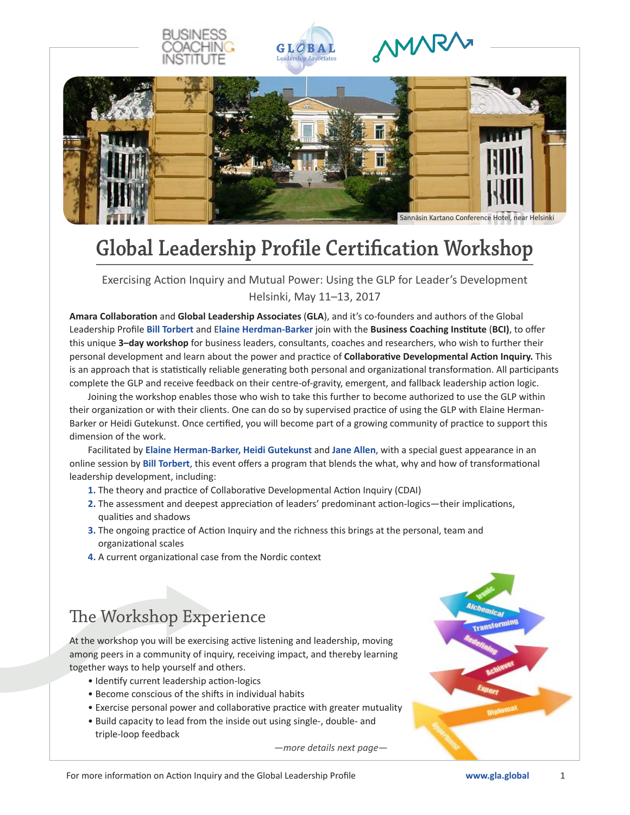

# **Global Leadership Profile Certification Workshop**

Exercising Action Inquiry and Mutual Power: Using the GLP for Leader's Development Helsinki, May 11–13, 2017

**Amara Collaboration** and **Global Leadership Associates** (**GLA**), and it's co-founders and authors of the Global Leadership Profile **Bill Torbert** and E**laine Herdman-Barker** join with the **Business Coaching Institute** (**BCI)**, to offer this unique **3–day workshop** for business leaders, consultants, coaches and researchers, who wish to further their personal development and learn about the power and practice of **Collaborative Developmental Action Inquiry.** This is an approach that is statistically reliable generating both personal and organizational transformation. All participants complete the GLP and receive feedback on their centre-of-gravity, emergent, and fallback leadership action logic.

Joining the workshop enables those who wish to take this further to become authorized to use the GLP within their organization or with their clients. One can do so by supervised practice of using the GLP with Elaine Herman-Barker or Heidi Gutekunst. Once certified, you will become part of a growing community of practice to support this dimension of the work.

Facilitated by **Elaine Herman-Barker, Heidi Gutekunst** and **Jane Allen**, with a special guest appearance in an online session by **Bill Torbert**, this event offers a program that blends the what, why and how of transformational leadership development, including:

- **1.** The theory and practice of Collaborative Developmental Action Inquiry (CDAI)
- **2.** The assessment and deepest appreciation of leaders' predominant action-logics—their implications, qualities and shadows
- **3.** The ongoing practice of Action Inquiry and the richness this brings at the personal, team and organizational scales
- **4.** A current organizational case from the Nordic context

## The Workshop Experience

At the workshop you will be exercising active listening and leadership, moving among peers in a community of inquiry, receiving impact, and thereby learning together ways to help yourself and others.

- Identify current leadership action-logics
- Become conscious of the shifts in individual habits
- Exercise personal power and collaborative practice with greater mutuality
- Build capacity to lead from the inside out using single-, double- and triple-loop feedback

*—more details next page—*

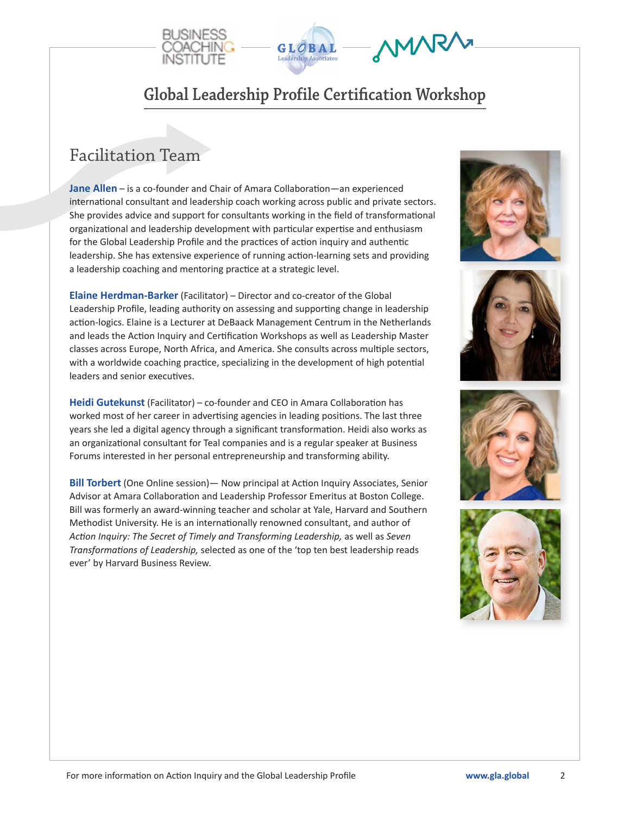



### **Global Leadership Profile Certification Workshop**

#### Facilitation Team

**Jane Allen** – is a co-founder and Chair of Amara Collaboration—an experienced international consultant and leadership coach working across public and private sectors. She provides advice and support for consultants working in the field of transformational organizational and leadership development with particular expertise and enthusiasm for the Global Leadership Profile and the practices of action inquiry and authentic leadership. She has extensive experience of running action-learning sets and providing a leadership coaching and mentoring practice at a strategic level.

**Elaine Herdman-Barker** (Facilitator) – Director and co-creator of the Global Leadership Profile, leading authority on assessing and supporting change in leadership action-logics. Elaine is a Lecturer at DeBaack Management Centrum in the Netherlands and leads the Action Inquiry and Certification Workshops as well as Leadership Master classes across Europe, North Africa, and America. She consults across multiple sectors, with a worldwide coaching practice, specializing in the development of high potential leaders and senior executives.

**Heidi Gutekunst** (Facilitator) – co-founder and CEO in Amara Collaboration has worked most of her career in advertising agencies in leading positions. The last three years she led a digital agency through a significant transformation. Heidi also works as an organizational consultant for Teal companies and is a regular speaker at Business Forums interested in her personal entrepreneurship and transforming ability.

**Bill Torbert** (One Online session)— Now principal at Action Inquiry Associates, Senior Advisor at Amara Collaboration and Leadership Professor Emeritus at Boston College. Bill was formerly an award-winning teacher and scholar at Yale, Harvard and Southern Methodist University. He is an internationally renowned consultant, and author of *Action Inquiry: The Secret of Timely and Transforming Leadership,* as well as *Seven Transformations of Leadership,* selected as one of the 'top ten best leadership reads ever' by Harvard Business Review.